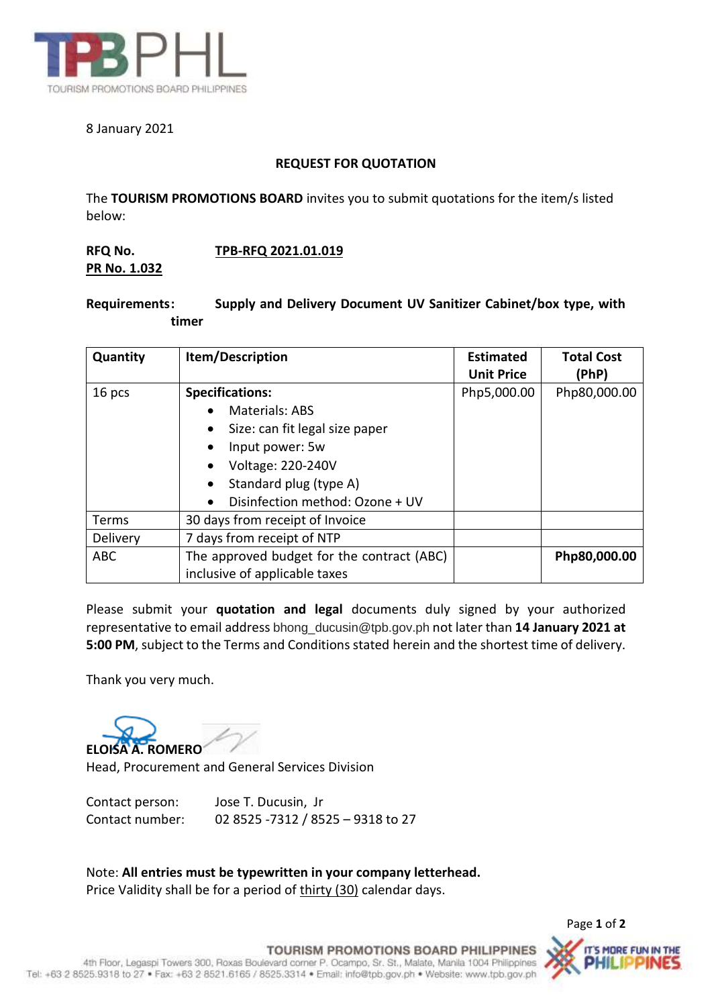

## 8 January 2021

## **REQUEST FOR QUOTATION**

The **TOURISM PROMOTIONS BOARD** invites you to submit quotations for the item/s listed below:

## **RFQ No. TPB-RFQ 2021.01.019 PR No. 1.032**

## **Requirements: Supply and Delivery Document UV Sanitizer Cabinet/box type, with timer**

| Quantity   | Item/Description                           | <b>Estimated</b><br><b>Unit Price</b> | <b>Total Cost</b><br>(PhP) |
|------------|--------------------------------------------|---------------------------------------|----------------------------|
| 16 pcs     | <b>Specifications:</b>                     | Php5,000.00                           | Php80,000.00               |
|            | <b>Materials: ABS</b>                      |                                       |                            |
|            | Size: can fit legal size paper             |                                       |                            |
|            | Input power: 5w                            |                                       |                            |
|            | <b>Voltage: 220-240V</b>                   |                                       |                            |
|            | Standard plug (type A)                     |                                       |                            |
|            | Disinfection method: Ozone + UV            |                                       |                            |
| Terms      | 30 days from receipt of Invoice            |                                       |                            |
| Delivery   | 7 days from receipt of NTP                 |                                       |                            |
| <b>ABC</b> | The approved budget for the contract (ABC) |                                       | Php80,000.00               |
|            | inclusive of applicable taxes              |                                       |                            |

Please submit your **quotation and legal** documents duly signed by your authorized representative to email address bhong\_ducusin@tpb.gov.ph not later than **14 January 2021 at 5:00 PM**, subject to the Terms and Conditions stated herein and the shortest time of delivery.

Thank you very much.

**ELOISA A. ROMERO**

Head, Procurement and General Services Division

| Contact person: | Jose T. Ducusin, Jr               |
|-----------------|-----------------------------------|
| Contact number: | 02 8525 -7312 / 8525 - 9318 to 27 |

Note: **All entries must be typewritten in your company letterhead.** Price Validity shall be for a period of thirty (30) calendar days.